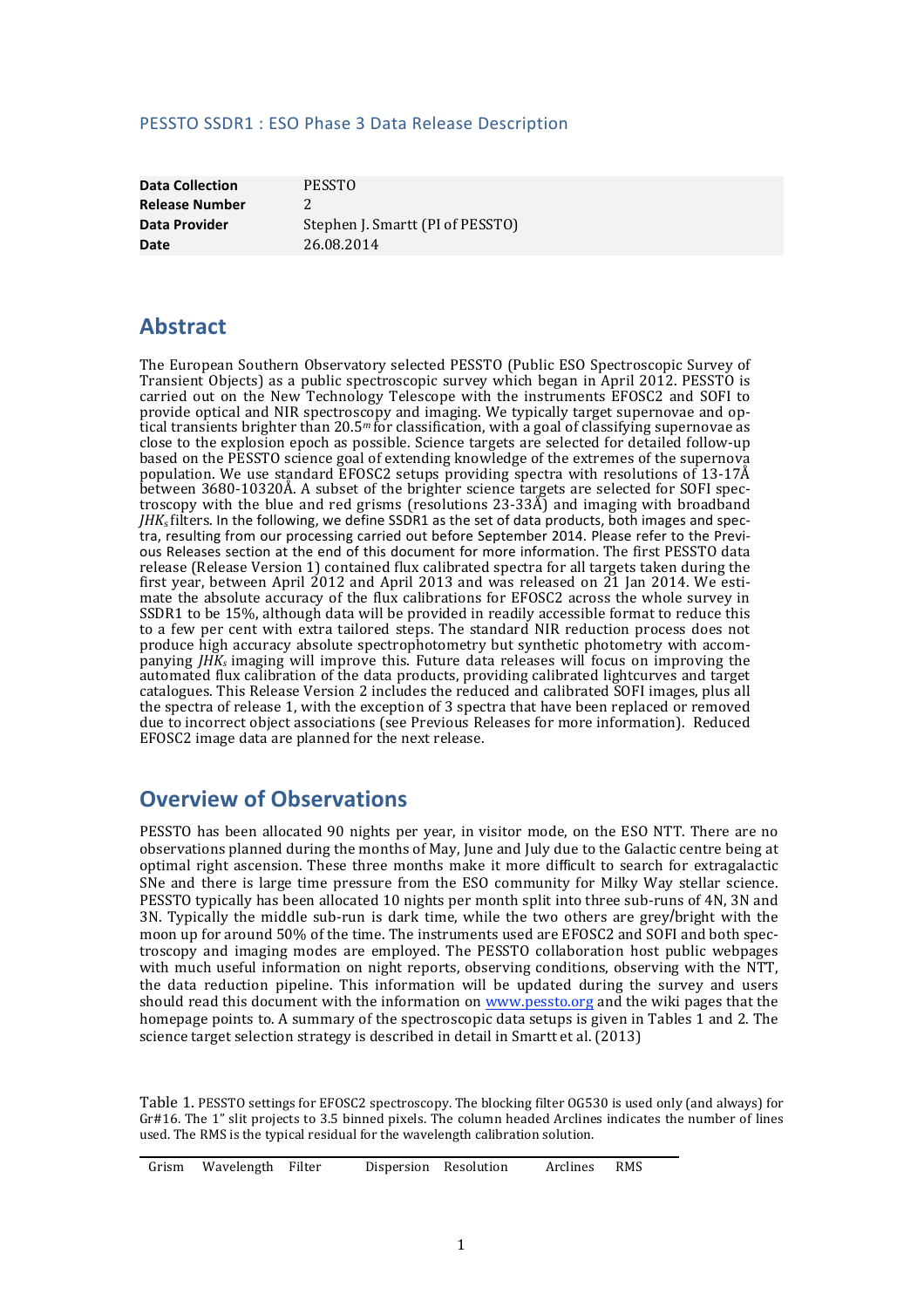### PESSTO SSDR1 : ESO Phase 3 Data Release Description

**Data Collection PESSTO Release Number** 2 **Date** 26.08.2014

**Data Provider** Stephen J. Smartt (PI of PESSTO)

## **Abstract**

The European Southern Observatory selected PESSTO (Public ESO Spectroscopic Survey of Transient Objects) as a public spectroscopic survey which began in April 2012. PESSTO is carried out on the New Technology Telescope with the instruments EFOSC2 and SOFI to provide optical and NIR spectroscopy and imaging. We typically target supernovae and optical transients brighter than 20.5<sup>m</sup> for classification, with a goal of classifying supernovae as close to the explosion epoch as possible. Science targets are selected for detailed follow-up based on the PESSTO science goal of extending knowledge of the extremes of the supernova population. We use standard  $EFGSC2$  setups providing spectra with resolutions of 13-17Å between  $3680-10320\text{\AA}$ . A subset of the brighter science targets are selected for SOFI spectroscopy with the blue and red grisms (resolutions  $23-33\AA$ ) and imaging with broadband *JHK*<sub>s</sub> filters. In the following, we define SSDR1 as the set of data products, both images and spectra, resulting from our processing carried out before September 2014. Please refer to the Previous Releases section at the end of this document for more information. The first PESSTO data release (Release Version 1) contained flux calibrated spectra for all targets taken during the first year, between April 2012 and April 2013 and was released on 21 Jan 2014. We esti-mate the absolute accuracy of the flux calibrations for EFOSC2 across the whole survey in SSDR1 to be 15%, although data will be provided in readily accessible format to reduce this to a few per cent with extra tailored steps. The standard NIR reduction process does not produce high accuracy absolute spectrophotometry but synthetic photometry with accompanying *JHK<sub>s</sub>* imaging will improve this. Future data releases will focus on improving the automated flux calibration of the data products, providing calibrated lightcurves and target catalogues. This Release Version 2 includes the reduced and calibrated SOFI images, plus all the spectra of release 1, with the exception of 3 spectra that have been replaced or removed due to incorrect object associations (see Previous Releases for more information). Reduced EFOSC2 image data are planned for the next release.

## **Overview of Observations**

PESSTO has been allocated 90 nights per year, in visitor mode, on the ESO NTT. There are no observations planned during the months of May, June and July due to the Galactic centre being at optimal right ascension. These three months make it more difficult to search for extragalactic SNe and there is large time pressure from the ESO community for Milky Way stellar science. PESSTO typically has been allocated 10 nights per month split into three sub-runs of 4N, 3N and 3N. Typically the middle sub-run is dark time, while the two others are grey/bright with the moon up for around 50% of the time. The instruments used are EFOSC2 and SOFI and both spectroscopy and imaging modes are employed. The PESSTO collaboration host public webpages with much useful information on night reports, observing conditions, observing with the NTT. the data reduction pipeline. This information will be updated during the survey and users should read this document with the information on www.pessto.org and the wiki pages that the homepage points to. A summary of the spectroscopic data setups is given in Tables 1 and 2. The science target selection strategy is described in detail in Smartt et al. (2013)

Table 1. PESSTO settings for EFOSC2 spectroscopy. The blocking filter OG530 is used only (and always) for Gr#16. The 1" slit projects to 3.5 binned pixels. The column headed Arclines indicates the number of lines used. The RMS is the typical residual for the wavelength calibration solution.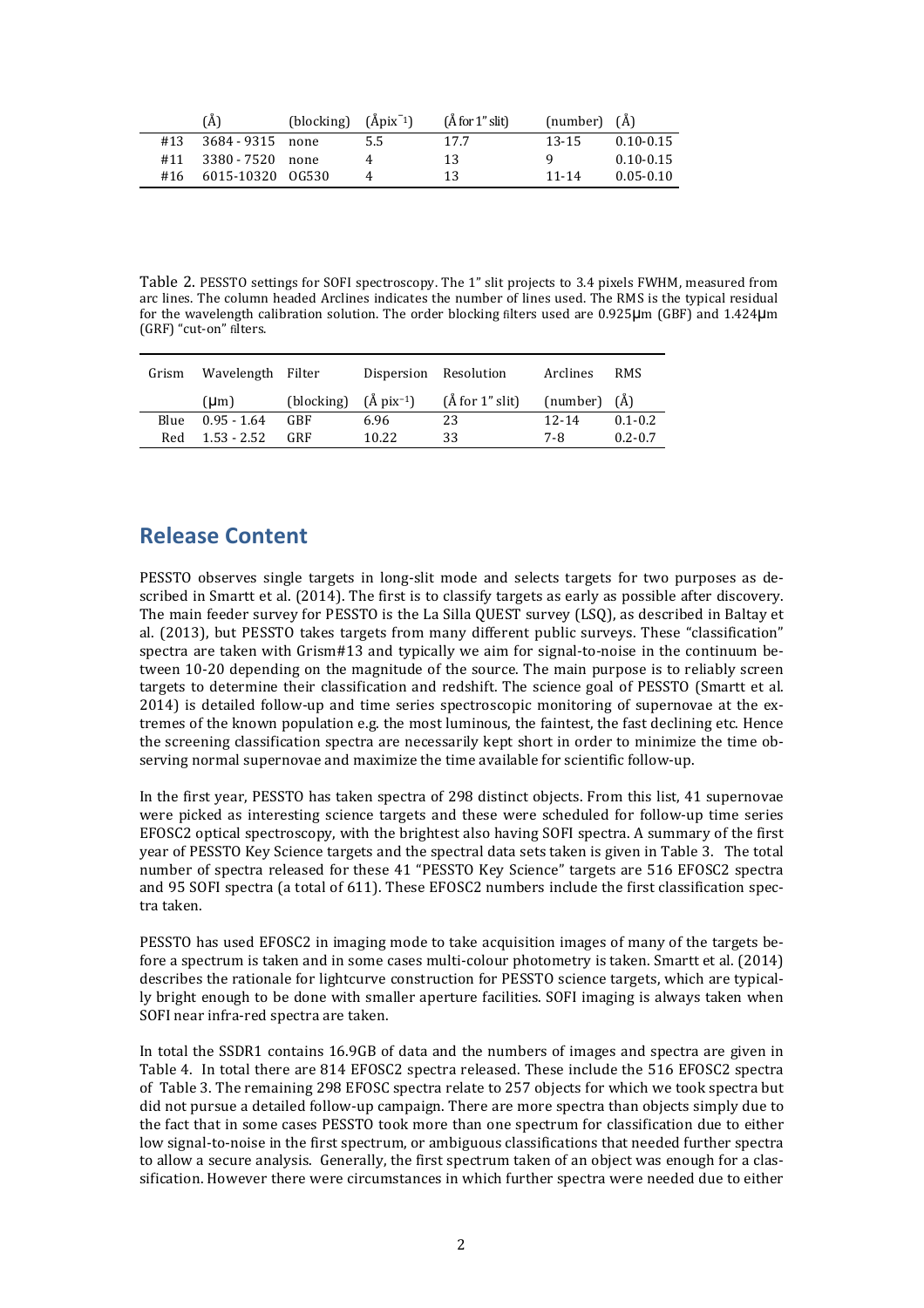|     | (A)                  | (blocking) $(\text{Apix}^{-1})$ |     | (A for 1" slit) | (number) (Å) |               |
|-----|----------------------|---------------------------------|-----|-----------------|--------------|---------------|
| #13 | 3684 - 9315 none     |                                 | 5.5 | 17.7            | 13-15        | $0.10 - 0.15$ |
| #11 | 3380 - 7520 none     |                                 |     | 13              |              | $0.10 - 0.15$ |
|     | #16 6015-10320 0G530 |                                 |     | 13              | 11-14        | $0.05 - 0.10$ |

Table 2. PESSTO settings for SOFI spectroscopy. The 1" slit projects to 3.4 pixels FWHM, measured from arc lines. The column headed Arclines indicates the number of lines used. The RMS is the typical residual for the wavelength calibration solution. The order blocking filters used are  $0.925\mu m$  (GBF) and  $1.424\mu m$ (GRF) "cut-on" filters.

| Grism | Wavelength Filter |                                        |       | Dispersion Resolution | Arclines         | <b>RMS</b>  |
|-------|-------------------|----------------------------------------|-------|-----------------------|------------------|-------------|
|       | (Lm)              | (blocking) $(\hat{A} \text{pix}^{-1})$ |       | $(\AA$ for 1" slit)   | (number) $(\AA)$ |             |
| Blue  | $0.95 - 1.64$     | GBF                                    | 6.96  | 23                    | $12 - 14$        | $0.1 - 0.2$ |
| Red   | $1.53 - 2.52$     | GRF                                    | 10.22 | 33                    | 7-8              | $0.2 - 0.7$ |

## **Release Content**

PESSTO observes single targets in long-slit mode and selects targets for two purposes as described in Smartt et al. (2014). The first is to classify targets as early as possible after discovery. The main feeder survey for PESSTO is the La Silla OUEST survey (LSO), as described in Baltay et al. (2013), but PESSTO takes targets from many different public surveys. These "classification" spectra are taken with Grism#13 and typically we aim for signal-to-noise in the continuum between 10-20 depending on the magnitude of the source. The main purpose is to reliably screen targets to determine their classification and redshift. The science goal of PESSTO (Smartt et al.  $2014$ ) is detailed follow-up and time series spectroscopic monitoring of supernovae at the extremes of the known population e.g. the most luminous, the faintest, the fast declining etc. Hence the screening classification spectra are necessarily kept short in order to minimize the time observing normal supernovae and maximize the time available for scientific follow-up.

In the first year, PESSTO has taken spectra of 298 distinct objects. From this list, 41 supernovae were picked as interesting science targets and these were scheduled for follow-up time series EFOSC2 optical spectroscopy, with the brightest also having SOFI spectra. A summary of the first year of PESSTO Key Science targets and the spectral data sets taken is given in Table 3. The total number of spectra released for these 41 "PESSTO Key Science" targets are 516 EFOSC2 spectra and 95 SOFI spectra (a total of 611). These EFOSC2 numbers include the first classification spectra taken.

PESSTO has used EFOSC2 in imaging mode to take acquisition images of many of the targets before a spectrum is taken and in some cases multi-colour photometry is taken. Smartt et al. (2014) describes the rationale for lightcurve construction for PESSTO science targets, which are typically bright enough to be done with smaller aperture facilities. SOFI imaging is always taken when SOFI near infra-red spectra are taken.

In total the SSDR1 contains 16.9GB of data and the numbers of images and spectra are given in Table 4. In total there are 814 EFOSC2 spectra released. These include the 516 EFOSC2 spectra of Table 3. The remaining 298 EFOSC spectra relate to 257 objects for which we took spectra but did not pursue a detailed follow-up campaign. There are more spectra than objects simply due to the fact that in some cases PESSTO took more than one spectrum for classification due to either low signal-to-noise in the first spectrum, or ambiguous classifications that needed further spectra to allow a secure analysis. Generally, the first spectrum taken of an object was enough for a classification. However there were circumstances in which further spectra were needed due to either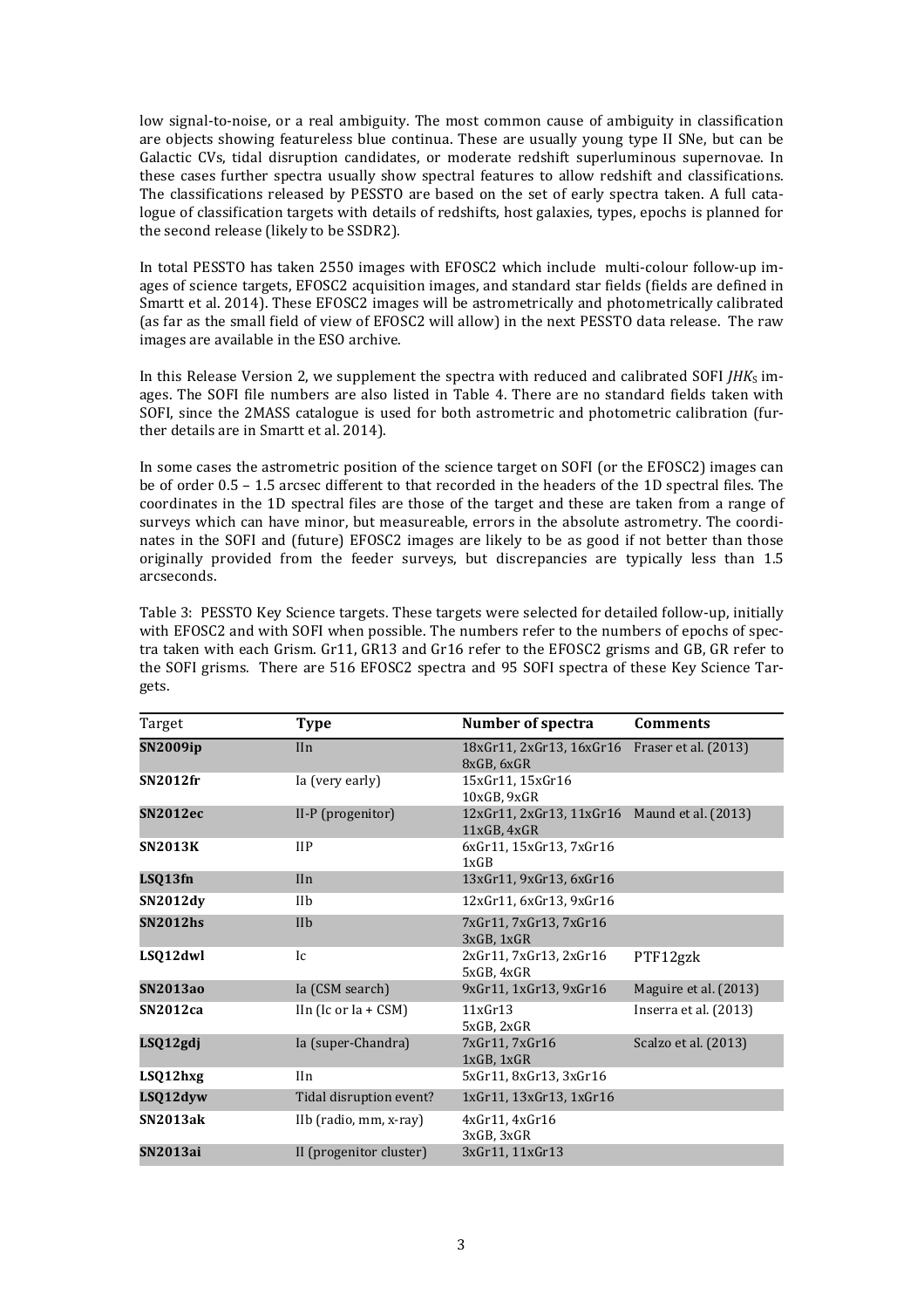low signal-to-noise, or a real ambiguity. The most common cause of ambiguity in classification are objects showing featureless blue continua. These are usually young type II SNe, but can be Galactic CVs, tidal disruption candidates, or moderate redshift superluminous supernovae. In these cases further spectra usually show spectral features to allow redshift and classifications. The classifications released by PESSTO are based on the set of early spectra taken. A full catalogue of classification targets with details of redshifts, host galaxies, types, epochs is planned for the second release (likely to be SSDR2).

In total PESSTO has taken 2550 images with EFOSC2 which include multi-colour follow-up images of science targets, EFOSC2 acquisition images, and standard star fields (fields are defined in Smartt et al. 2014). These EFOSC2 images will be astrometrically and photometrically calibrated (as far as the small field of view of EFOSC2 will allow) in the next PESSTO data release. The raw images are available in the ESO archive.

In this Release Version 2, we supplement the spectra with reduced and calibrated SOFI *JHK*s images. The SOFI file numbers are also listed in Table 4. There are no standard fields taken with SOFI, since the 2MASS catalogue is used for both astrometric and photometric calibration (further details are in Smartt et al. 2014).

In some cases the astrometric position of the science target on SOFI (or the EFOSC2) images can be of order 0.5 – 1.5 arcsec different to that recorded in the headers of the 1D spectral files. The coordinates in the 1D spectral files are those of the target and these are taken from a range of surveys which can have minor, but measureable, errors in the absolute astrometry. The coordinates in the SOFI and (future) EFOSC2 images are likely to be as good if not better than those originally provided from the feeder surveys, but discrepancies are typically less than 1.5 arcseconds. 

Table 3: PESSTO Key Science targets. These targets were selected for detailed follow-up, initially with EFOSC2 and with SOFI when possible. The numbers refer to the numbers of epochs of spectra taken with each Grism. Gr11, GR13 and Gr16 refer to the EFOSC2 grisms and GB, GR refer to the SOFI grisms. There are 516 EFOSC2 spectra and 95 SOFI spectra of these Key Science Targets. 

| Target          | <b>Type</b>             | Number of spectra                                           | <b>Comments</b>       |
|-----------------|-------------------------|-------------------------------------------------------------|-----------------------|
| <b>SN2009ip</b> | <b>IIn</b>              | 18xGr11, 2xGr13, 16xGr16 Fraser et al. (2013)<br>8xGB, 6xGR |                       |
| <b>SN2012fr</b> | Ia (very early)         | 15xGr11, 15xGr16<br>10xGB, 9xGR                             |                       |
| <b>SN2012ec</b> | $II-P$ (progenitor)     | 12xGr11, 2xGr13, 11xGr16 Maund et al. (2013)<br>11xGB, 4xGR |                       |
| <b>SN2013K</b>  | $_{\rm HP}$             | 6xGr11, 15xGr13, 7xGr16<br>1xGB                             |                       |
| LSQ13fn         | IIn                     | 13xGr11, 9xGr13, 6xGr16                                     |                       |
| <b>SN2012dy</b> | IIb                     | 12xGr11, 6xGr13, 9xGr16                                     |                       |
| <b>SN2012hs</b> | I <sub>lh</sub>         | 7xGr11, 7xGr13, 7xGr16<br>3xGB.1xGR                         |                       |
| LSQ12dwl        | Ic                      | 2xGr11, 7xGr13, 2xGr16<br>5xGB, 4xGR                        | PTF12gzk              |
| <b>SN2013ao</b> | Ia (CSM search)         | 9xGr11, 1xGr13, 9xGr16                                      | Maguire et al. (2013) |
| <b>SN2012ca</b> | IIn (Ic or $Ia + CSM$ ) | $11x$ Gr $13$<br>5xGB, 2xGR                                 | Inserra et al. (2013) |
| LSQ12gdj        | Ia (super-Chandra)      | 7xGr11, 7xGr16<br>1xGB.1xGR                                 | Scalzo et al. (2013)  |
| LSQ12hxg        | II <sub>n</sub>         | 5xGr11, 8xGr13, 3xGr16                                      |                       |
| LSQ12dyw        | Tidal disruption event? | 1xGr11, 13xGr13, 1xGr16                                     |                       |
| SN2013ak        | IIb (radio, mm, x-ray)  | 4xGr11, 4xGr16<br>3xGB, 3xGR                                |                       |
| SN2013ai        | II (progenitor cluster) | 3xGr11, 11xGr13                                             |                       |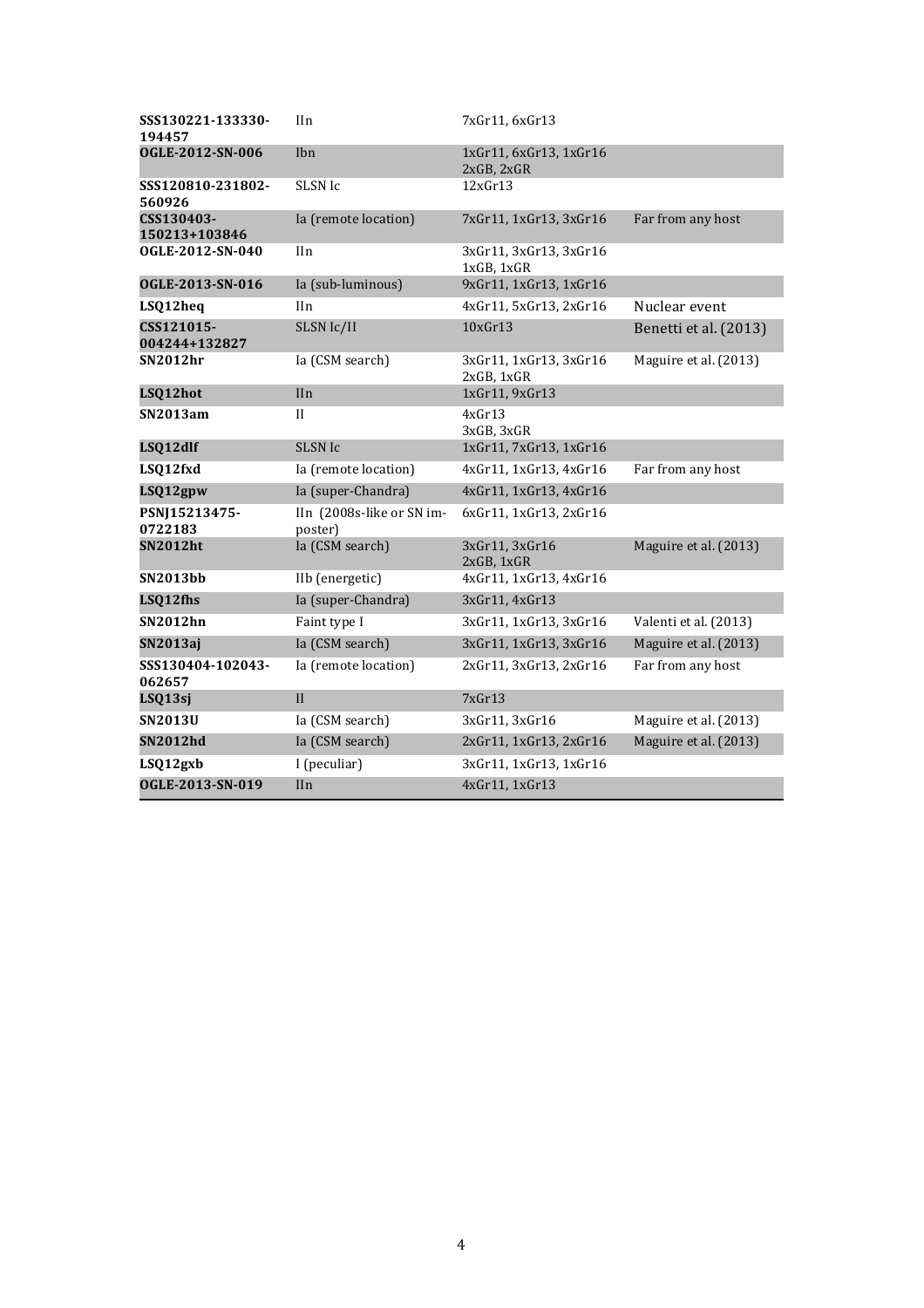| SSS130221-133330-<br>194457 | IIn                                  | 7xGr11, 6xGr13                       |                       |
|-----------------------------|--------------------------------------|--------------------------------------|-----------------------|
| OGLE-2012-SN-006            | Ibn                                  | 1xGr11, 6xGr13, 1xGr16<br>2xGB, 2xGR |                       |
| SSS120810-231802-<br>560926 | SLSN Ic                              | 12xGr13                              |                       |
| CSS130403-<br>150213+103846 | Ia (remote location)                 | 7xGr11, 1xGr13, 3xGr16               | Far from any host     |
| OGLE-2012-SN-040            | IIn                                  | 3xGr11, 3xGr13, 3xGr16<br>1xGB, 1xGR |                       |
| OGLE-2013-SN-016            | Ia (sub-luminous)                    | 9xGr11, 1xGr13, 1xGr16               |                       |
| LSQ12heq                    | IIn                                  | 4xGr11, 5xGr13, 2xGr16               | Nuclear event         |
| CSS121015-<br>004244+132827 | SLSN Ic/II                           | $10x$ Gr $13$                        | Benetti et al. (2013) |
| <b>SN2012hr</b>             | Ia (CSM search)                      | 3xGr11, 1xGr13, 3xGr16<br>2xGB, 1xGR | Maguire et al. (2013) |
| LSQ12hot                    | IIn                                  | 1xGr11, 9xGr13                       |                       |
| <b>SN2013am</b>             | $\mathbf{I}$                         | 4xGr13<br>3xGB, 3xGR                 |                       |
| LSQ12dlf                    | <b>SLSN Ic</b>                       | 1xGr11, 7xGr13, 1xGr16               |                       |
| LSQ12fxd                    | Ia (remote location)                 | 4xGr11, 1xGr13, 4xGr16               | Far from any host     |
| LSQ12gpw                    | Ia (super-Chandra)                   | 4xGr11, 1xGr13, 4xGr16               |                       |
| PSNJ15213475-<br>0722183    | IIn (2008s-like or SN im-<br>poster) | 6xGr11, 1xGr13, 2xGr16               |                       |
| <b>SN2012ht</b>             | Ia (CSM search)                      | 3xGr11, 3xGr16<br>2xGB, 1xGR         | Maguire et al. (2013) |
| <b>SN2013bb</b>             | IIb (energetic)                      | 4xGr11, 1xGr13, 4xGr16               |                       |
| LSQ12fhs                    | Ia (super-Chandra)                   | 3xGr11, 4xGr13                       |                       |
| <b>SN2012hn</b>             | Faint type I                         | 3xGr11, 1xGr13, 3xGr16               | Valenti et al. (2013) |
| SN2013aj                    | Ia (CSM search)                      | 3xGr11, 1xGr13, 3xGr16               | Maguire et al. (2013) |
| SSS130404-102043-<br>062657 | Ia (remote location)                 | 2xGr11, 3xGr13, 2xGr16               | Far from any host     |
| LSQ13sj                     | II                                   | 7xGr13                               |                       |
| SN2013U                     | Ia (CSM search)                      | 3xGr11, 3xGr16                       | Maguire et al. (2013) |
| <b>SN2012hd</b>             | Ia (CSM search)                      | 2xGr11, 1xGr13, 2xGr16               | Maguire et al. (2013) |
| LSQ12gxb                    | I (peculiar)                         | 3xGr11, 1xGr13, 1xGr16               |                       |
| OGLE-2013-SN-019            | IIn                                  | 4xGr11, 1xGr13                       |                       |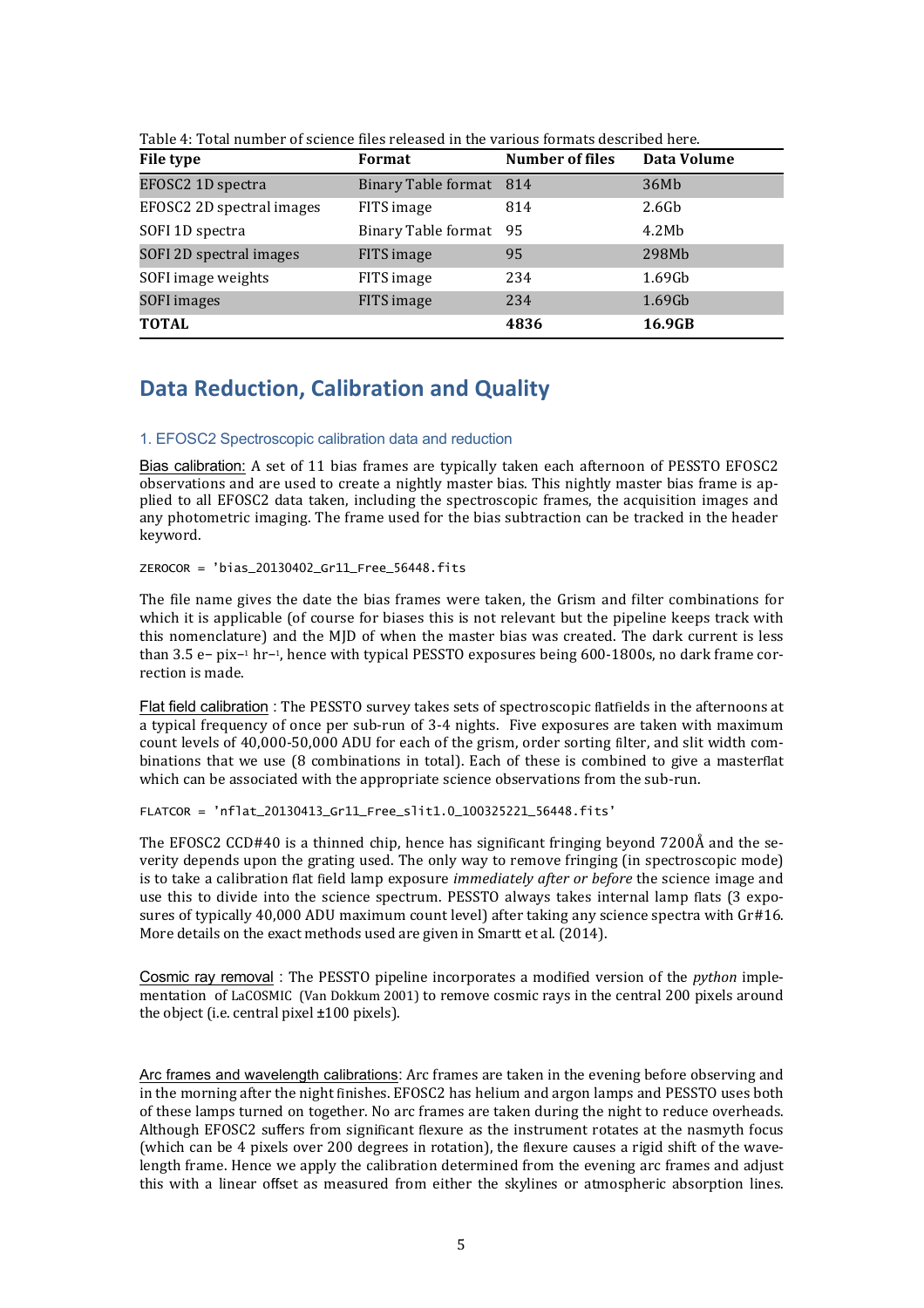| File type                 | Format                     | Number of files | Data Volume       |
|---------------------------|----------------------------|-----------------|-------------------|
| EFOSC2 1D spectra         | Binary Table format 814    |                 | 36Mb              |
| EFOSC2 2D spectral images | FITS image                 | 814             | 2.6 <sub>6</sub>  |
| SOFI 1D spectra           | <b>Binary Table format</b> | 95              | 4.2M <sub>b</sub> |
| SOFI 2D spectral images   | FITS image                 | 95              | 298Mb             |
| SOFI image weights        | FITS image                 | 234             | $1.69$ Gb         |
| SOFI images               | FITS image                 | 234             | $1.69$ Gb         |
| <b>TOTAL</b>              |                            | 4836            | 16.9GB            |

Table 4: Total number of science files released in the various formats described here.

# **Data Reduction, Calibration and Quality**

### 1. EFOSC2 Spectroscopic calibration data and reduction

Bias calibration: A set of 11 bias frames are typically taken each afternoon of PESSTO EFOSC2 observations and are used to create a nightly master bias. This nightly master bias frame is applied to all EFOSC2 data taken, including the spectroscopic frames, the acquisition images and any photometric imaging. The frame used for the bias subtraction can be tracked in the header keyword.

ZEROCOR = 'bias\_20130402\_Gr11\_Free\_56448.fits

The file name gives the date the bias frames were taken, the Grism and filter combinations for which it is applicable (of course for biases this is not relevant but the pipeline keeps track with this nomenclature) and the MJD of when the master bias was created. The dark current is less than 3.5 e– pix–1 hr−1, hence with typical PESSTO exposures being 600-1800s, no dark frame correction is made.

Flat field calibration : The PESSTO survey takes sets of spectroscopic flatfields in the afternoons at a typical frequency of once per sub-run of 3-4 nights. Five exposures are taken with maximum count levels of 40,000-50,000 ADU for each of the grism, order sorting filter, and slit width combinations that we use (8 combinations in total). Each of these is combined to give a masterflat which can be associated with the appropriate science observations from the sub-run.

FLATCOR = 'nflat\_20130413\_Gr11\_Free\_slit1.0\_100325221\_56448.fits'

The EFOSC2 CCD#40 is a thinned chip, hence has significant fringing beyond  $7200\text{\AA}$  and the severity depends upon the grating used. The only way to remove fringing (in spectroscopic mode) is to take a calibration flat field lamp exposure *immediately after or before* the science image and use this to divide into the science spectrum. PESSTO always takes internal lamp flats (3 exposures of typically  $40.000$  ADU maximum count level) after taking any science spectra with  $Gr#16$ . More details on the exact methods used are given in Smartt et al. (2014).

Cosmic ray removal : The PESSTO pipeline incorporates a modified version of the *python* implementation of LaCOSMIC (Van Dokkum 2001) to remove cosmic rays in the central 200 pixels around the object (i.e. central pixel  $\pm 100$  pixels).

Arc frames and wavelength calibrations: Arc frames are taken in the evening before observing and in the morning after the night finishes. EFOSC2 has helium and argon lamps and PESSTO uses both of these lamps turned on together. No arc frames are taken during the night to reduce overheads. Although EFOSC2 suffers from significant flexure as the instrument rotates at the nasmyth focus (which can be 4 pixels over 200 degrees in rotation), the flexure causes a rigid shift of the wavelength frame. Hence we apply the calibration determined from the evening arc frames and adjust this with a linear offset as measured from either the skylines or atmospheric absorption lines.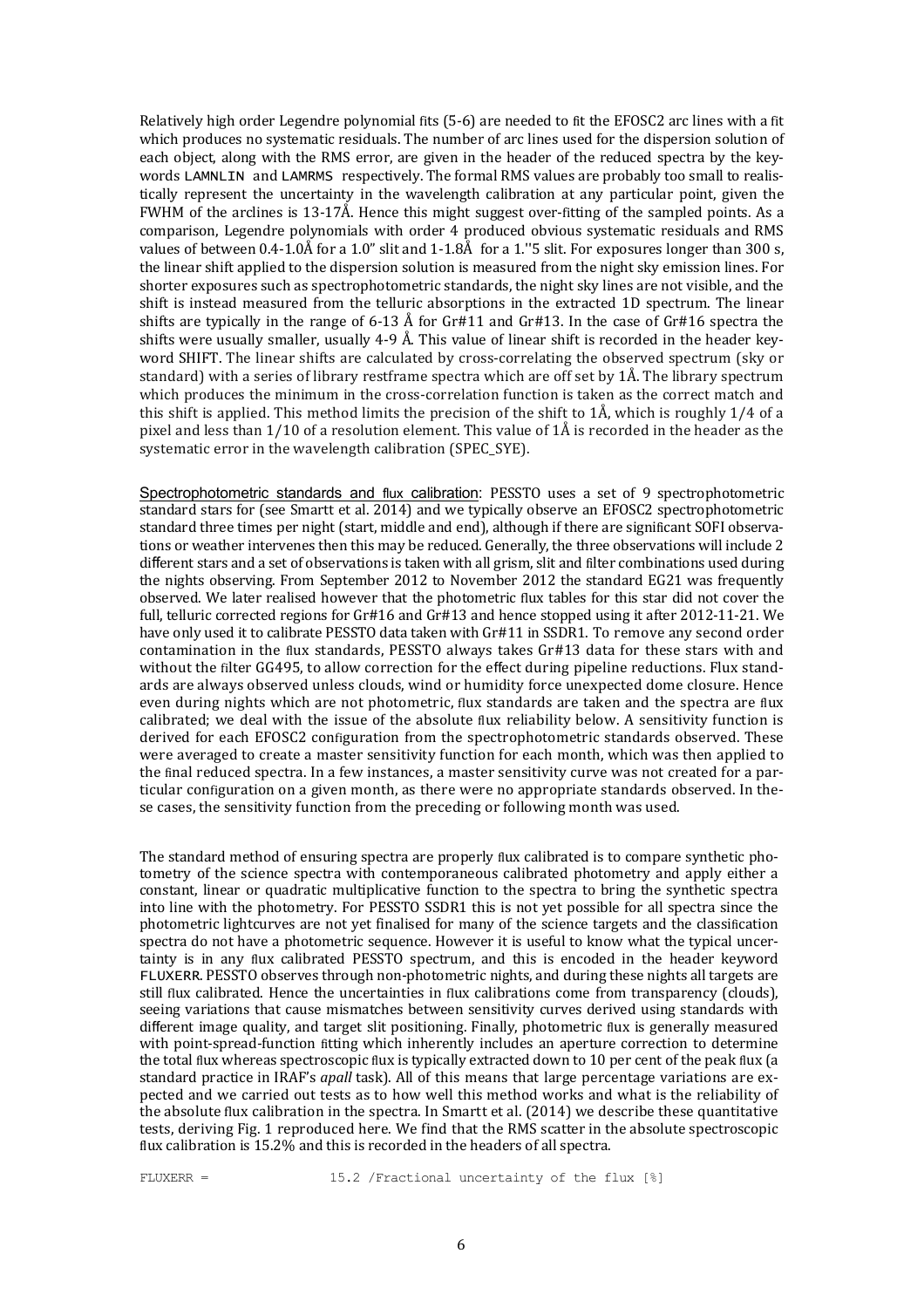Relatively high order Legendre polynomial fits  $(5-6)$  are needed to fit the EFOSC2 arc lines with a fit which produces no systematic residuals. The number of arc lines used for the dispersion solution of each object, along with the RMS error, are given in the header of the reduced spectra by the keywords LAMNLIN and LAMRMS respectively. The formal RMS values are probably too small to realistically represent the uncertainty in the wavelength calibration at any particular point, given the FWHM of the arclines is  $13-17\text{\AA}$ . Hence this might suggest over-fitting of the sampled points. As a comparison, Legendre polynomials with order 4 produced obvious systematic residuals and RMS values of between  $0.4$ -1.0Å for a 1.0" slit and 1-1.8Å for a 1."5 slit. For exposures longer than 300 s, the linear shift applied to the dispersion solution is measured from the night sky emission lines. For shorter exposures such as spectrophotometric standards, the night sky lines are not visible, and the shift is instead measured from the telluric absorptions in the extracted 1D spectrum. The linear shifts are typically in the range of 6-13 Å for Gr#11 and Gr#13. In the case of Gr#16 spectra the shifts were usually smaller, usually  $4-9$  Å. This value of linear shift is recorded in the header keyword SHIFT. The linear shifts are calculated by cross-correlating the observed spectrum (sky or standard) with a series of library restframe spectra which are off set by  $1\AA$ . The library spectrum which produces the minimum in the cross-correlation function is taken as the correct match and this shift is applied. This method limits the precision of the shift to  $1\AA$ , which is roughly  $1/4$  of a pixel and less than  $1/10$  of a resolution element. This value of  $1\text{\AA}$  is recorded in the header as the systematic error in the wavelength calibration (SPEC\_SYE).

Spectrophotometric standards and flux calibration: PESSTO uses a set of 9 spectrophotometric standard stars for (see Smartt et al. 2014) and we typically observe an EFOSC2 spectrophotometric standard three times per night (start, middle and end), although if there are significant SOFI observations or weather intervenes then this may be reduced. Generally, the three observations will include 2 different stars and a set of observations is taken with all grism, slit and filter combinations used during the nights observing. From September 2012 to November 2012 the standard EG21 was frequently observed. We later realised however that the photometric flux tables for this star did not cover the full, telluric corrected regions for  $Gr#16$  and  $Gr#13$  and hence stopped using it after 2012-11-21. We have only used it to calibrate PESSTO data taken with Gr#11 in SSDR1. To remove any second order contamination in the flux standards, PESSTO always takes Gr#13 data for these stars with and without the filter GG495, to allow correction for the effect during pipeline reductions. Flux standards are always observed unless clouds, wind or humidity force unexpected dome closure. Hence even during nights which are not photometric, flux standards are taken and the spectra are flux calibrated; we deal with the issue of the absolute flux reliability below. A sensitivity function is derived for each EFOSC2 configuration from the spectrophotometric standards observed. These were averaged to create a master sensitivity function for each month, which was then applied to the final reduced spectra. In a few instances, a master sensitivity curve was not created for a particular configuration on a given month, as there were no appropriate standards observed. In these cases, the sensitivity function from the preceding or following month was used.

The standard method of ensuring spectra are properly flux calibrated is to compare synthetic photometry of the science spectra with contemporaneous calibrated photometry and apply either a constant, linear or quadratic multiplicative function to the spectra to bring the synthetic spectra into line with the photometry. For PESSTO SSDR1 this is not yet possible for all spectra since the photometric lightcurves are not yet finalised for many of the science targets and the classification spectra do not have a photometric sequence. However it is useful to know what the typical uncertainty is in any flux calibrated PESSTO spectrum, and this is encoded in the header keyword FLUXERR. PESSTO observes through non-photometric nights, and during these nights all targets are still flux calibrated. Hence the uncertainties in flux calibrations come from transparency (clouds), seeing variations that cause mismatches between sensitivity curves derived using standards with different image quality, and target slit positioning. Finally, photometric flux is generally measured with point-spread-function fitting which inherently includes an aperture correction to determine the total flux whereas spectroscopic flux is typically extracted down to 10 per cent of the peak flux (a standard practice in IRAF's *apall* task). All of this means that large percentage variations are expected and we carried out tests as to how well this method works and what is the reliability of the absolute flux calibration in the spectra. In Smartt et al.  $(2014)$  we describe these quantitative tests, deriving Fig. 1 reproduced here. We find that the RMS scatter in the absolute spectroscopic flux calibration is 15.2% and this is recorded in the headers of all spectra.

FLUXERR = 15.2 /Fractional uncertainty of the flux [%]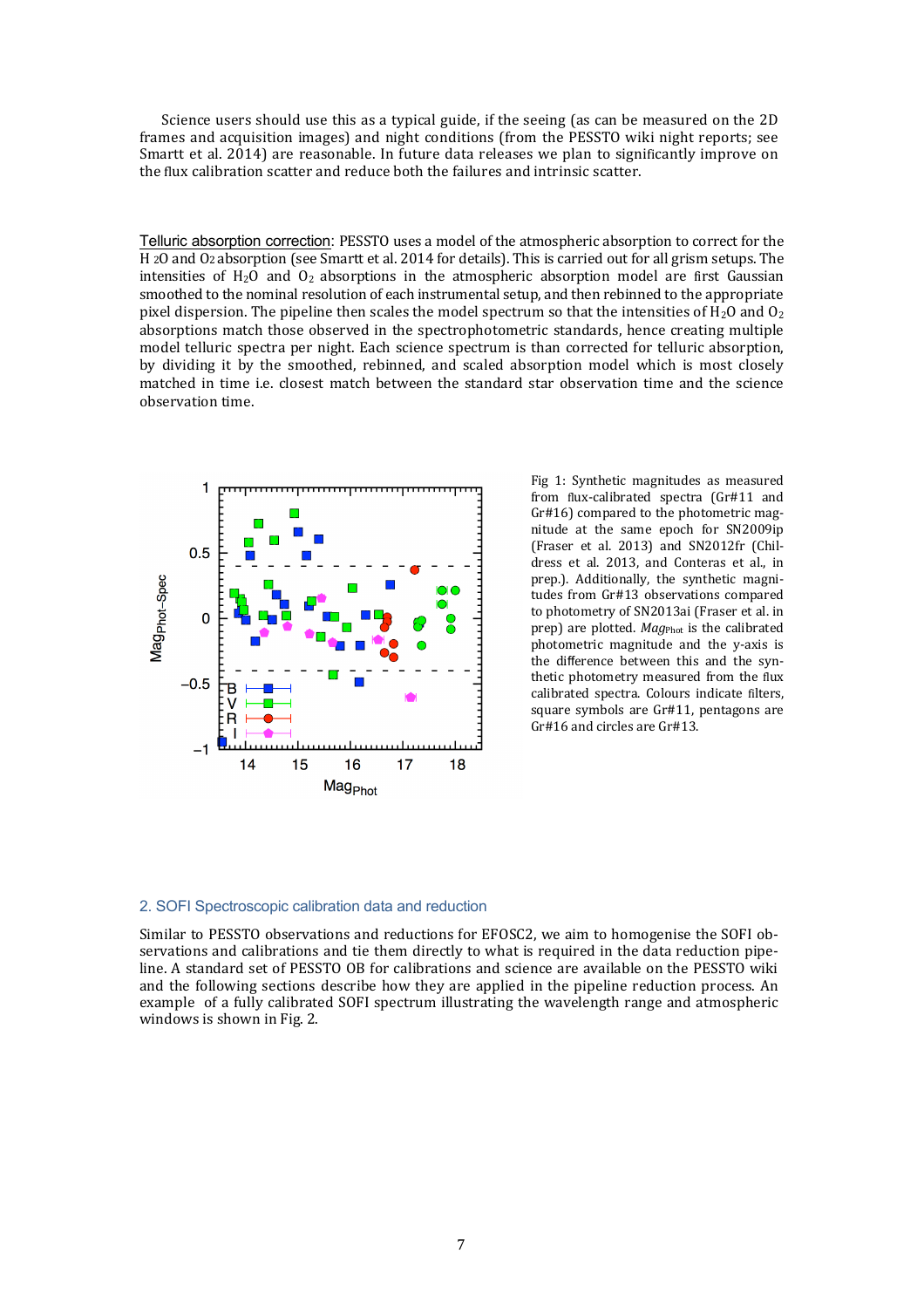Science users should use this as a typical guide, if the seeing (as can be measured on the 2D frames and acquisition images) and night conditions (from the PESSTO wiki night reports; see Smartt et al.  $2014$ ) are reasonable. In future data releases we plan to significantly improve on the flux calibration scatter and reduce both the failures and intrinsic scatter.

Telluric absorption correction: PESSTO uses a model of the atmospheric absorption to correct for the H 2O and O2 absorption (see Smartt et al. 2014 for details). This is carried out for all grism setups. The intensities of  $H_2O$  and  $O_2$  absorptions in the atmospheric absorption model are first Gaussian smoothed to the nominal resolution of each instrumental setup, and then rebinned to the appropriate pixel dispersion. The pipeline then scales the model spectrum so that the intensities of  $H_2O$  and  $O_2$ absorptions match those observed in the spectrophotometric standards, hence creating multiple model telluric spectra per night. Each science spectrum is than corrected for telluric absorption, by dividing it by the smoothed, rebinned, and scaled absorption model which is most closely matched in time i.e. closest match between the standard star observation time and the science observation time.



Fig 1: Synthetic magnitudes as measured from flux-calibrated spectra (Gr#11 and Gr#16) compared to the photometric magnitude at the same epoch for SN2009ip (Fraser et al.  $2013$ ) and SN2012fr (Childress et al. 2013, and Conteras et al., in prep.). Additionally, the synthetic magnitudes from Gr#13 observations compared to photometry of SN2013ai (Fraser et al. in prep) are plotted. *Mag*<sub>Phot</sub> is the calibrated photometric magnitude and the *v*-axis is the difference between this and the synthetic photometry measured from the flux calibrated spectra. Colours indicate filters, square symbols are Gr#11, pentagons are Gr#16 and circles are Gr#13.

#### 2. SOFI Spectroscopic calibration data and reduction

Similar to PESSTO observations and reductions for EFOSC2, we aim to homogenise the SOFI observations and calibrations and tie them directly to what is required in the data reduction pipeline. A standard set of PESSTO OB for calibrations and science are available on the PESSTO wiki and the following sections describe how they are applied in the pipeline reduction process. An example of a fully calibrated SOFI spectrum illustrating the wavelength range and atmospheric windows is shown in Fig. 2.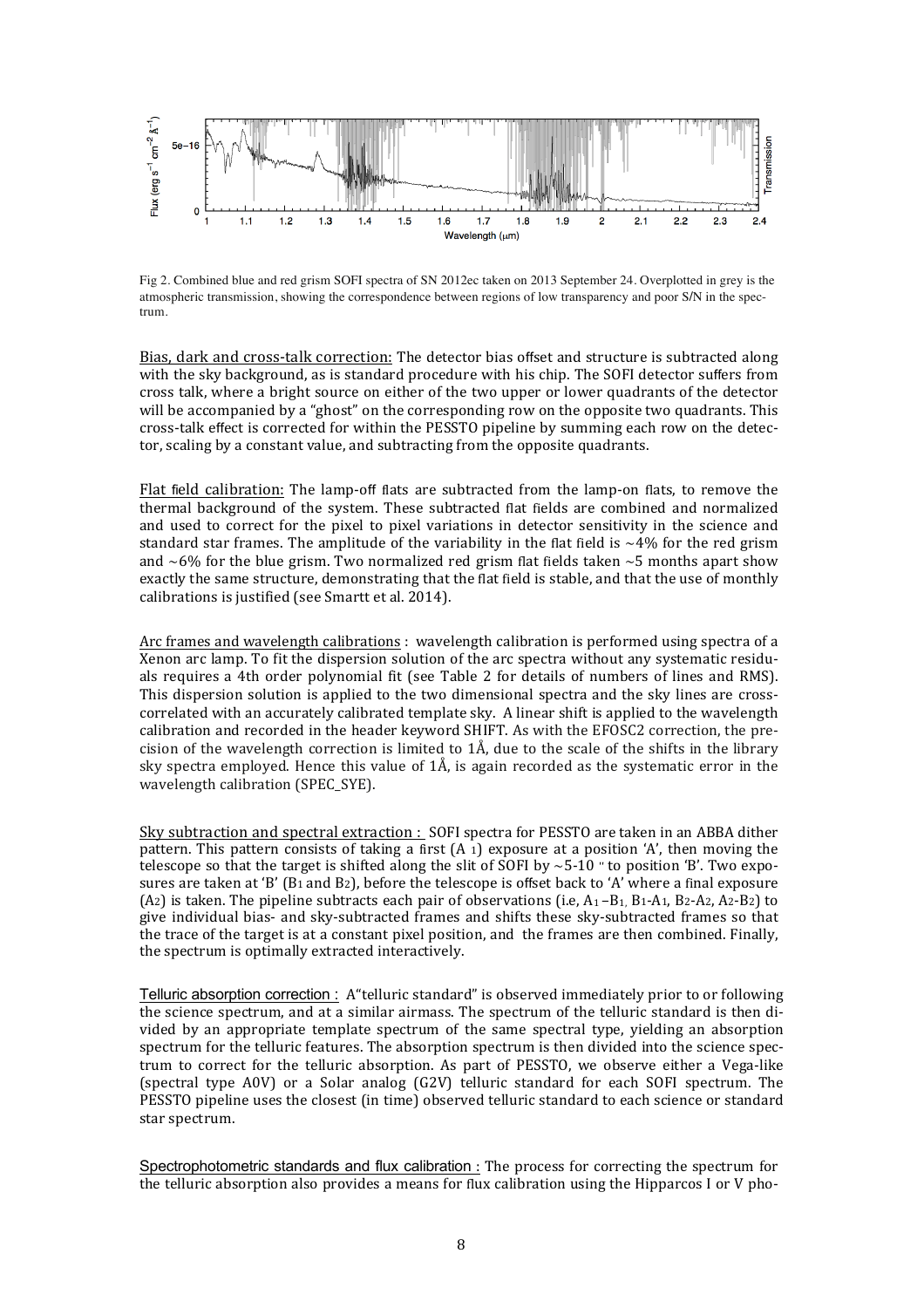

Fig 2. Combined blue and red grism SOFI spectra of SN 2012ec taken on 2013 September 24. Overplotted in grey is the atmospheric transmission, showing the correspondence between regions of low transparency and poor S/N in the spectrum.

Bias, dark and cross-talk correction: The detector bias offset and structure is subtracted along with the sky background, as is standard procedure with his chip. The SOFI detector suffers from cross talk, where a bright source on either of the two upper or lower quadrants of the detector will be accompanied by a "ghost" on the corresponding row on the opposite two quadrants. This cross-talk effect is corrected for within the PESSTO pipeline by summing each row on the detector, scaling by a constant value, and subtracting from the opposite quadrants.

Flat field calibration: The lamp-off flats are subtracted from the lamp-on flats, to remove the thermal background of the system. These subtracted flat fields are combined and normalized and used to correct for the pixel to pixel variations in detector sensitivity in the science and standard star frames. The amplitude of the variability in the flat field is  $\sim$ 4% for the red grism and  $~6\%$  for the blue grism. Two normalized red grism flat fields taken  $~5$  months apart show exactly the same structure, demonstrating that the flat field is stable, and that the use of monthly calibrations is justified (see Smartt et al. 2014).

Arc frames and wavelength calibrations : wavelength calibration is performed using spectra of a Xenon arc lamp. To fit the dispersion solution of the arc spectra without any systematic residuals requires a 4th order polynomial fit (see Table 2 for details of numbers of lines and RMS). This dispersion solution is applied to the two dimensional spectra and the sky lines are crosscorrelated with an accurately calibrated template sky. A linear shift is applied to the wavelength calibration and recorded in the header keyword SHIFT. As with the EFOSC2 correction, the precision of the wavelength correction is limited to  $1\text{\AA}$ , due to the scale of the shifts in the library sky spectra employed. Hence this value of  $1\text{\AA}$ , is again recorded as the systematic error in the wavelength calibration (SPEC\_SYE).

Sky subtraction and spectral extraction : SOFI spectra for PESSTO are taken in an ABBA dither pattern. This pattern consists of taking a first  $(A_1)$  exposure at a position 'A', then moving the telescope so that the target is shifted along the slit of SOFI by  $~5-10$  " to position 'B'. Two exposures are taken at 'B' (B<sub>1</sub> and B<sub>2</sub>), before the telescope is offset back to 'A' where a final exposure (A2) is taken. The pipeline subtracts each pair of observations (i.e,  $A_1 - B_1$ , B1-A1, B2-A2, A2-B2) to give individual bias- and sky-subtracted frames and shifts these sky-subtracted frames so that the trace of the target is at a constant pixel position, and the frames are then combined. Finally, the spectrum is optimally extracted interactively.

Telluric absorption correction : A "telluric standard" is observed immediately prior to or following the science spectrum, and at a similar airmass. The spectrum of the telluric standard is then divided by an appropriate template spectrum of the same spectral type, yielding an absorption spectrum for the telluric features. The absorption spectrum is then divided into the science spectrum to correct for the telluric absorption. As part of PESSTO, we observe either a Vega-like (spectral type A0V) or a Solar analog  $(G2V)$  telluric standard for each SOFI spectrum. The PESSTO pipeline uses the closest (in time) observed telluric standard to each science or standard star spectrum.

Spectrophotometric standards and flux calibration : The process for correcting the spectrum for the telluric absorption also provides a means for flux calibration using the Hipparcos I or V pho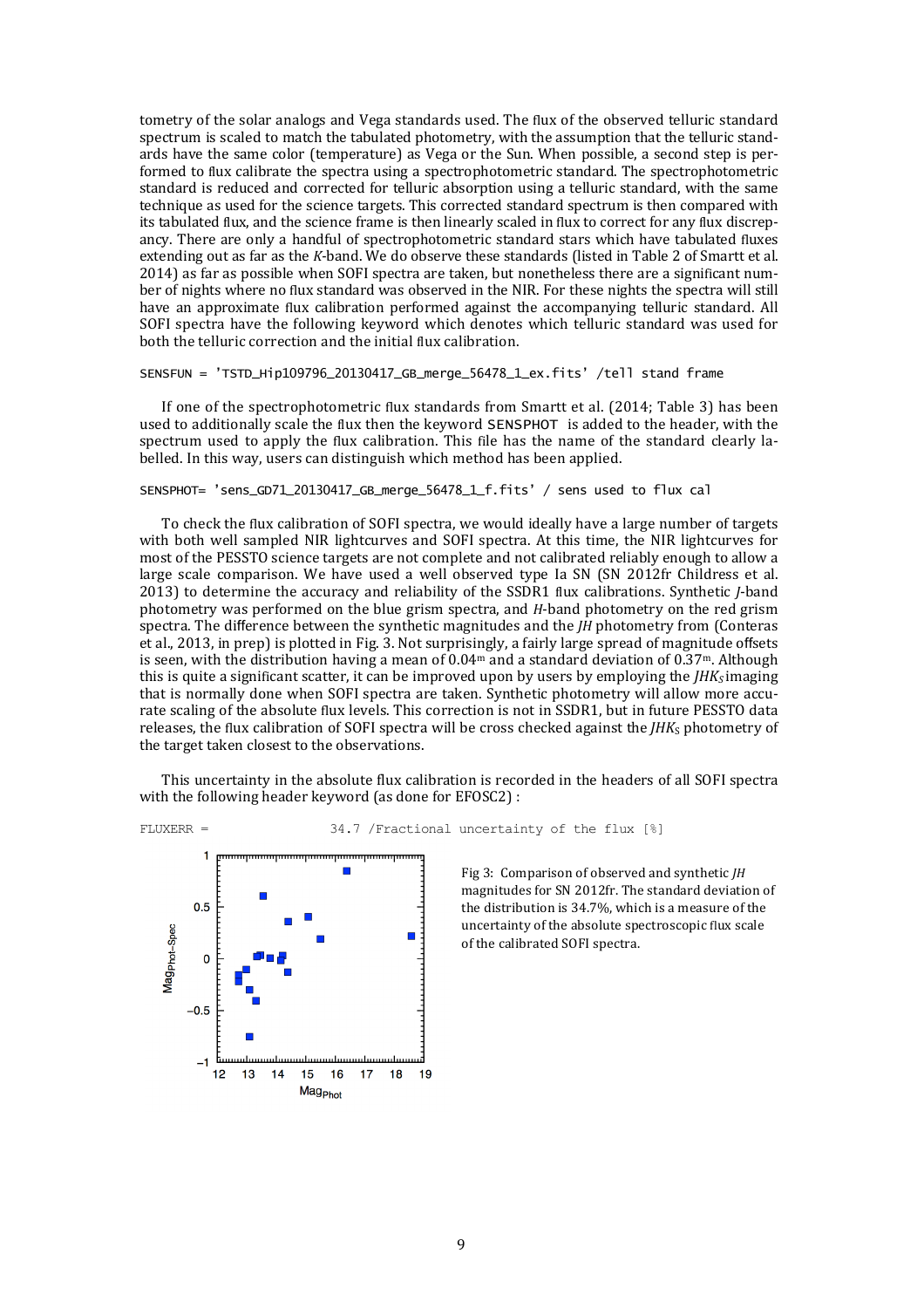tometry of the solar analogs and Vega standards used. The flux of the observed telluric standard spectrum is scaled to match the tabulated photometry, with the assumption that the telluric standards have the same color (temperature) as Vega or the Sun. When possible, a second step is performed to flux calibrate the spectra using a spectrophotometric standard. The spectrophotometric standard is reduced and corrected for telluric absorption using a telluric standard, with the same technique as used for the science targets. This corrected standard spectrum is then compared with its tabulated flux, and the science frame is then linearly scaled in flux to correct for any flux discrepancy. There are only a handful of spectrophotometric standard stars which have tabulated fluxes extending out as far as the *K*-band. We do observe these standards (listed in Table 2 of Smartt et al. 2014) as far as possible when SOFI spectra are taken, but nonetheless there are a significant number of nights where no flux standard was observed in the NIR. For these nights the spectra will still have an approximate flux calibration performed against the accompanying telluric standard. All SOFI spectra have the following keyword which denotes which telluric standard was used for both the telluric correction and the initial flux calibration.

SENSFUN = 'TSTD\_Hip109796\_20130417\_GB\_merge\_56478\_1\_ex.fits' /tell stand frame

If one of the spectrophotometric flux standards from Smartt et al.  $(2014;$  Table 3) has been used to additionally scale the flux then the keyword SENSPHOT is added to the header, with the spectrum used to apply the flux calibration. This file has the name of the standard clearly labelled. In this way, users can distinguish which method has been applied.

#### SENSPHOT= 'sens\_GD71\_20130417\_GB\_merge\_56478\_1\_f.fits' / sens used to flux cal

To check the flux calibration of SOFI spectra, we would ideally have a large number of targets with both well sampled NIR lightcurves and SOFI spectra. At this time, the NIR lightcurves for most of the PESSTO science targets are not complete and not calibrated reliably enough to allow a large scale comparison. We have used a well observed type Ia SN (SN 2012fr Childress et al. 2013) to determine the accuracy and reliability of the SSDR1 flux calibrations. Synthetic *J*-band photometry was performed on the blue grism spectra, and *H*-band photometry on the red grism spectra. The difference between the synthetic magnitudes and the *JH* photometry from (Conteras et al., 2013, in prep) is plotted in Fig. 3. Not surprisingly, a fairly large spread of magnitude offsets is seen, with the distribution having a mean of  $0.04<sup>m</sup>$  and a standard deviation of  $0.37<sup>m</sup>$ . Although this is quite a significant scatter, it can be improved upon by users by employing the  $IHK<sub>S</sub>$  imaging that is normally done when SOFI spectra are taken. Synthetic photometry will allow more accurate scaling of the absolute flux levels. This correction is not in SSDR1, but in future PESSTO data releases, the flux calibration of SOFI spectra will be cross checked against the *IHK*s photometry of the target taken closest to the observations.

This uncertainty in the absolute flux calibration is recorded in the headers of all SOFI spectra with the following header keyword (as done for EFOSC2) :



FLUXERR = 34.7 /Fractional uncertainty of the flux [%]

Fig 3: Comparison of observed and synthetic *JH* magnitudes for SN 2012fr. The standard deviation of the distribution is 34.7%, which is a measure of the uncertainty of the absolute spectroscopic flux scale of the calibrated SOFI spectra.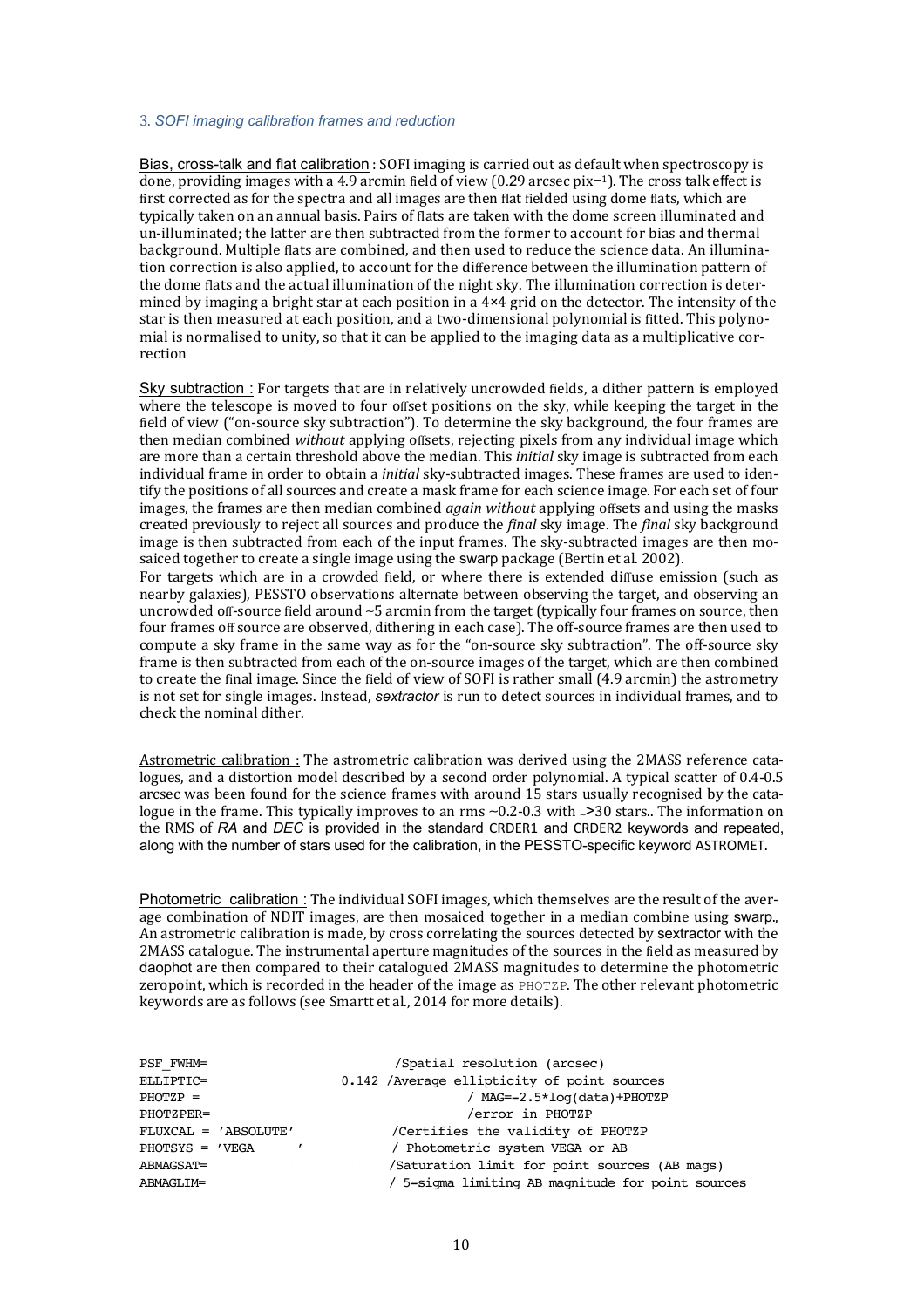#### 3. *SOFI imaging calibration frames and reduction*

Bias, cross-talk and flat calibration : SOFI imaging is carried out as default when spectroscopy is done, providing images with a 4.9 arcmin field of view  $(0.29 \text{ arcsec pixel})$ . The cross talk effect is first corrected as for the spectra and all images are then flat fielded using dome flats, which are typically taken on an annual basis. Pairs of flats are taken with the dome screen illuminated and un-illuminated; the latter are then subtracted from the former to account for bias and thermal background. Multiple flats are combined, and then used to reduce the science data. An illumination correction is also applied, to account for the difference between the illumination pattern of the dome flats and the actual illumination of the night sky. The illumination correction is determined by imaging a bright star at each position in a  $4\times4$  grid on the detector. The intensity of the star is then measured at each position, and a two-dimensional polynomial is fitted. This polynomial is normalised to unity, so that it can be applied to the imaging data as a multiplicative correction

Sky subtraction : For targets that are in relatively uncrowded fields, a dither pattern is employed where the telescope is moved to four offset positions on the sky, while keeping the target in the field of view ("on-source sky subtraction"). To determine the sky background, the four frames are then median combined *without* applying offsets, rejecting pixels from any individual image which are more than a certain threshold above the median. This *initial* sky image is subtracted from each individual frame in order to obtain a *initial* sky-subtracted images. These frames are used to identify the positions of all sources and create a mask frame for each science image. For each set of four images, the frames are then median combined *again without* applying offsets and using the masks created previously to reject all sources and produce the *final* sky image. The *final* sky background image is then subtracted from each of the input frames. The sky-subtracted images are then mosaiced together to create a single image using the swarp package (Bertin et al. 2002).

For targets which are in a crowded field, or where there is extended diffuse emission (such as nearby galaxies), PESSTO observations alternate between observing the target, and observing an uncrowded off-source field around ~5 arcmin from the target (typically four frames on source, then four frames off source are observed, dithering in each case). The off-source frames are then used to compute a sky frame in the same way as for the "on-source sky subtraction". The off-source sky frame is then subtracted from each of the on-source images of the target, which are then combined to create the final image. Since the field of view of SOFI is rather small (4.9 arcmin) the astrometry is not set for single images. Instead, *sextractor* is run to detect sources in individual frames, and to check the nominal dither.

Astrometric calibration : The astrometric calibration was derived using the 2MASS reference catalogues, and a distortion model described by a second order polynomial. A typical scatter of 0.4-0.5 arcsec was been found for the science frames with around 15 stars usually recognised by the catalogue in the frame. This typically improves to an rms ~0.2-0.3 with <sub>∼</sub>>30 stars.. The information on the RMS of RA and *DEC* is provided in the standard CRDER1 and CRDER2 keywords and repeated, along with the number of stars used for the calibration, in the PESSTO-specific keyword ASTROMET.

Photometric calibration : The individual SOFI images, which themselves are the result of the average combination of NDIT images, are then mosaiced together in a median combine using swarp., An astrometric calibration is made, by cross correlating the sources detected by sextractor with the 2MASS catalogue. The instrumental aperture magnitudes of the sources in the field as measured by daophot are then compared to their catalogued 2MASS magnitudes to determine the photometric zeropoint, which is recorded in the header of the image as  $PHOTZP$ . The other relevant photometric keywords are as follows (see Smartt et al., 2014 for more details).

| PSF FWHM=            |  | /Spatial resolution (arcsec)                      |
|----------------------|--|---------------------------------------------------|
| ELLIPTIC=            |  | 0.142 / Average ellipticity of point sources      |
| $PHOTZP =$           |  | / $MAG=-2.5*log(data)+PHOTZP$                     |
| PHOTZPER=            |  | /error in PHOTZP                                  |
| FLUXCAL = 'ABSOLUTE' |  | /Certifies the validity of PHOTZP                 |
| $PHOTSYS = 'VEGA$    |  | / Photometric system VEGA or AB                   |
| ABMAGSAT=            |  | /Saturation limit for point sources (AB mags)     |
| ABMAGLIM=            |  | / 5-sigma limiting AB magnitude for point sources |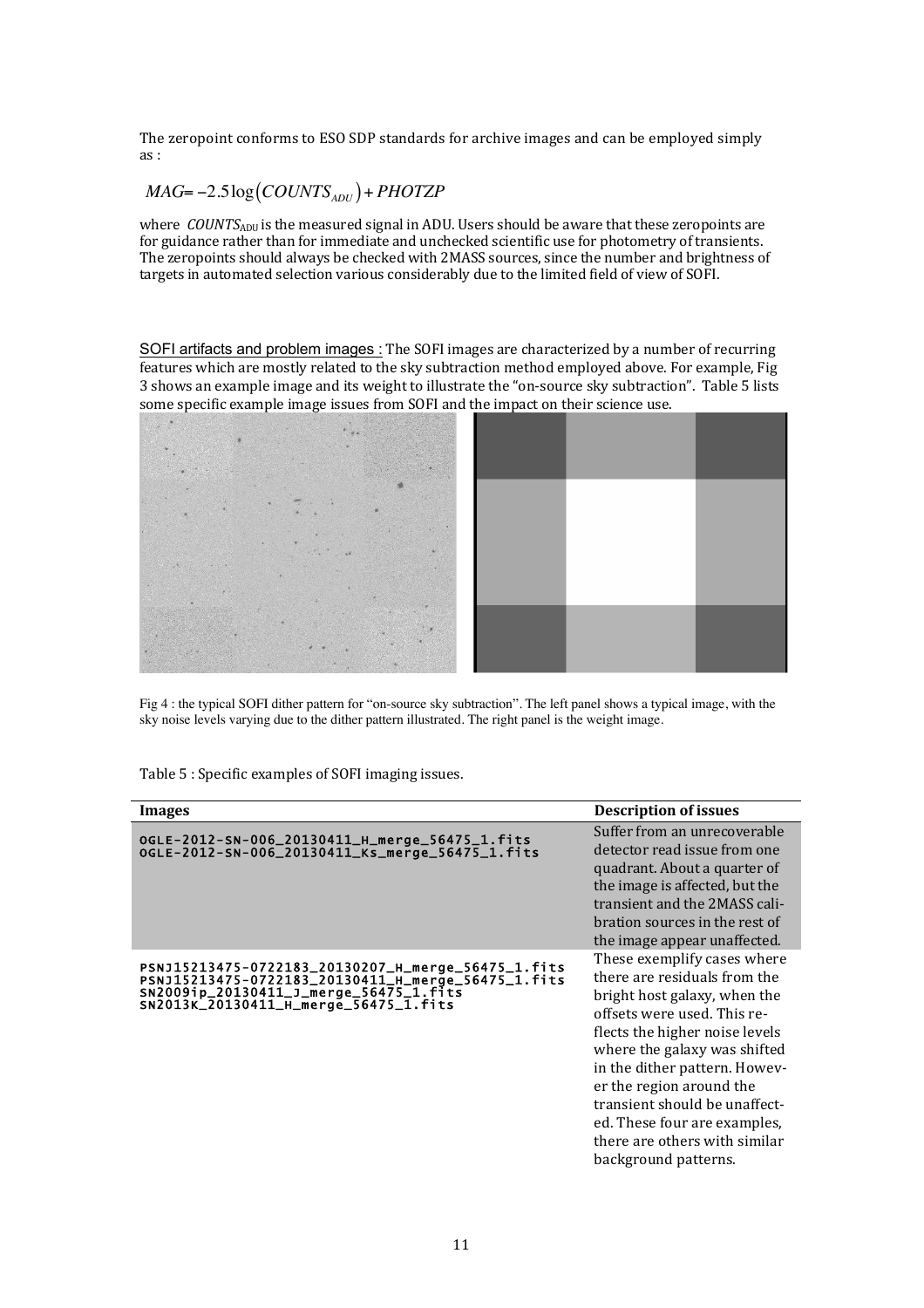The zeropoint conforms to ESO SDP standards for archive images and can be employed simply as :

## $MAG = -2.5 \log (COUNTS_{ADU}) + PHOTZP$

where *COUNTS*<sub>ADU</sub> is the measured signal in ADU. Users should be aware that these zeropoints are for guidance rather than for immediate and unchecked scientific use for photometry of transients. The zeropoints should always be checked with 2MASS sources, since the number and brightness of targets in automated selection various considerably due to the limited field of view of SOFI.

SOFI artifacts and problem images : The SOFI images are characterized by a number of recurring features which are mostly related to the sky subtraction method employed above. For example, Fig 3 shows an example image and its weight to illustrate the "on-source sky subtraction". Table 5 lists some specific example image issues from SOFI and the impact on their science use.



Fig 4 : the typical SOFI dither pattern for "on-source sky subtraction". The left panel shows a typical image, with the sky noise levels varying due to the dither pattern illustrated. The right panel is the weight image.

Table 5 : Specific examples of SOFI imaging issues.

| Images                                                                                                                                                                                      | <b>Description of issues</b>                                                                                                                                                                                                                                                                                                                                                        |
|---------------------------------------------------------------------------------------------------------------------------------------------------------------------------------------------|-------------------------------------------------------------------------------------------------------------------------------------------------------------------------------------------------------------------------------------------------------------------------------------------------------------------------------------------------------------------------------------|
| OGLE-2012-SN-006_20130411_H_merge_56475_1.fits<br>OGLE-2012-SN-006_20130411_Ks_merge_56475_1.fits                                                                                           | Suffer from an unrecoverable<br>detector read issue from one<br>quadrant. About a quarter of<br>the image is affected, but the<br>transient and the 2MASS cali-<br>bration sources in the rest of<br>the image appear unaffected.                                                                                                                                                   |
| PSNJ15213475-0722183_20130207_H_merge_56475_1.fits<br>PSNJ15213475-0722183_20130411_H_merge_56475_1.fits<br>SN2009ip_20130411_J_merge_56475_1.fits<br>SN2013K_20130411_H_merge_56475_1.fits | These exemplify cases where<br>there are residuals from the<br>bright host galaxy, when the<br>offsets were used. This re-<br>flects the higher noise levels<br>where the galaxy was shifted<br>in the dither pattern. Howev-<br>er the region around the<br>transient should be unaffect-<br>ed. These four are examples,<br>there are others with similar<br>background patterns. |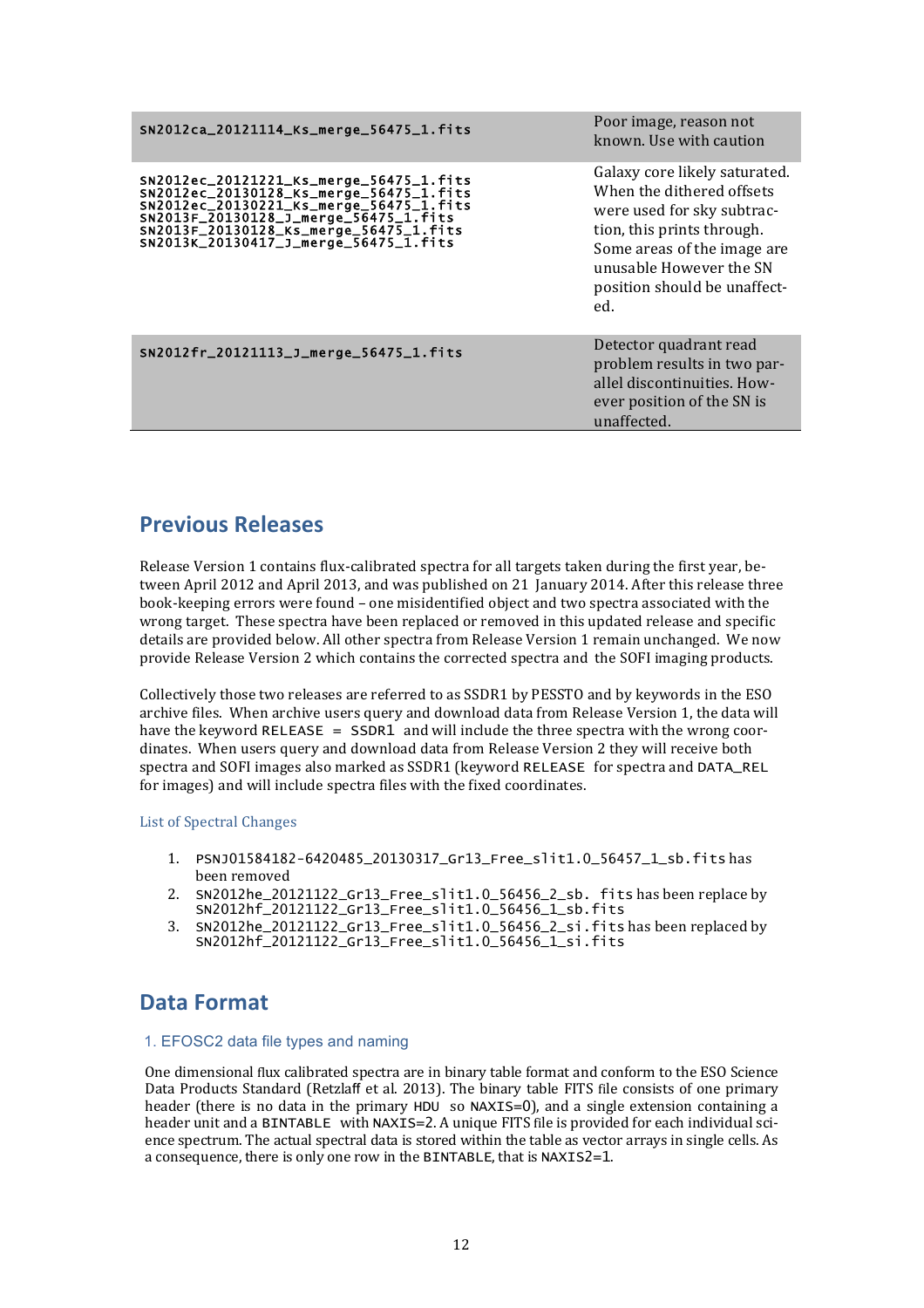| SN2012ca_20121114_Ks_merge_56475_1.fits                                                                                                                                                                                                                   | Poor image, reason not<br>known. Use with caution                                                                                                                                                                       |
|-----------------------------------------------------------------------------------------------------------------------------------------------------------------------------------------------------------------------------------------------------------|-------------------------------------------------------------------------------------------------------------------------------------------------------------------------------------------------------------------------|
| SN2012ec_20121221_Ks_merge_56475_1.fits<br>SN2012ec_20130128_Ks_merge_56475_1.fits<br>SN2012ec_20130221_Ks_merge_56475_1.fits<br>SN2013F_20130128_J_merge_56475_1.fits<br>SN2013F_20130128_Ks_merge_56475_1.fits<br>SN2013K_20130417_J_merge_56475_1.fits | Galaxy core likely saturated.<br>When the dithered offsets<br>were used for sky subtrac-<br>tion, this prints through.<br>Some areas of the image are<br>unusable However the SN<br>position should be unaffect-<br>ed. |
| SN2012fr_20121113_J_merge_56475_1.fits                                                                                                                                                                                                                    | Detector quadrant read<br>problem results in two par-<br>allel discontinuities. How-<br>ever position of the SN is<br>unaffected.                                                                                       |

## **Previous Releases**

Release Version 1 contains flux-calibrated spectra for all targets taken during the first year, between April 2012 and April 2013, and was published on 21 January 2014. After this release three book-keeping errors were found - one misidentified object and two spectra associated with the wrong target. These spectra have been replaced or removed in this updated release and specific details are provided below. All other spectra from Release Version 1 remain unchanged. We now provide Release Version 2 which contains the corrected spectra and the SOFI imaging products.

Collectively those two releases are referred to as SSDR1 by PESSTO and by keywords in the ESO archive files. When archive users query and download data from Release Version 1, the data will have the keyword  $RELEASE = SSDR1$  and will include the three spectra with the wrong coordinates. When users query and download data from Release Version 2 they will receive both spectra and SOFI images also marked as SSDR1 (keyword RELEASE for spectra and DATA\_REL for images) and will include spectra files with the fixed coordinates.

### List of Spectral Changes

- 1. PSNJ01584182-6420485\_20130317\_Gr13\_Free\_slit1.0\_56457\_1\_sb.fits has been removed
- 2. SN2012he 20121122 Gr13 Free slit1.0 56456 2 sb. fits has been replace by SN2012hf\_20121122\_Gr13\_Free\_slit1.0\_56456\_1\_sb.fits
- 3. SN2012he\_20121122\_Gr13\_Free\_slit1.0\_56456\_2\_si.fits has been replaced by SN2012hf\_20121122\_Gr13\_Free\_slit1.0\_56456\_1\_si.fits

# **Data Format**

### 1. EFOSC2 data file types and naming

One dimensional flux calibrated spectra are in binary table format and conform to the ESO Science Data Products Standard (Retzlaff et al. 2013). The binary table FITS file consists of one primary header (there is no data in the primary HDU so NAXIS=0), and a single extension containing a header unit and a BINTABLE with NAXIS=2. A unique FITS file is provided for each individual science spectrum. The actual spectral data is stored within the table as vector arrays in single cells. As a consequence, there is only one row in the BINTABLE, that is NAXIS2=1.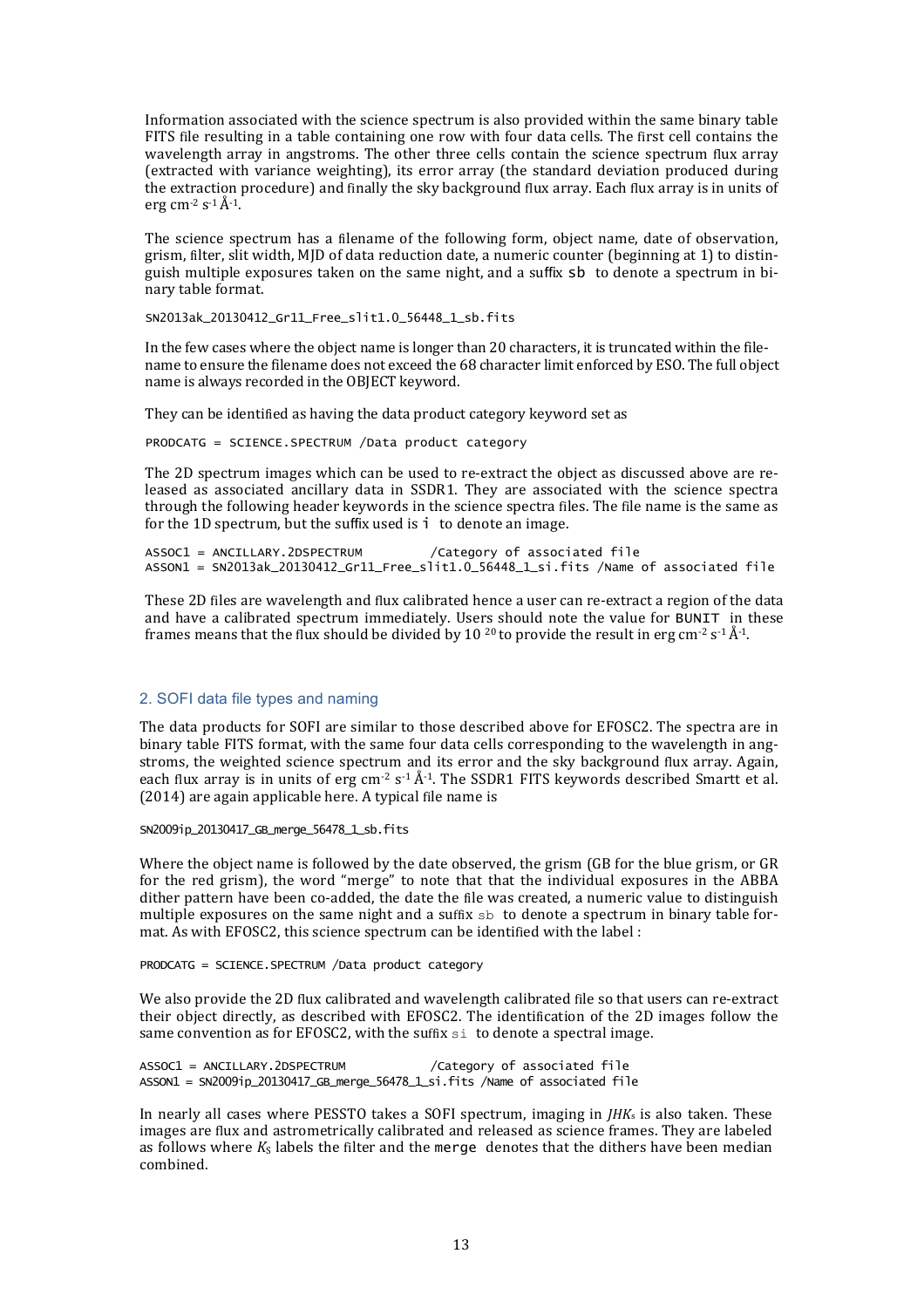Information associated with the science spectrum is also provided within the same binary table FITS file resulting in a table containing one row with four data cells. The first cell contains the wavelength array in angstroms. The other three cells contain the science spectrum flux array (extracted with variance weighting), its error array (the standard deviation produced during the extraction procedure) and finally the sky background flux array. Each flux array is in units of erg cm<sup>-2</sup> s<sup>-1</sup> $\AA$ <sup>-1</sup>.

The science spectrum has a filename of the following form, object name, date of observation, grism, filter, slit width, MJD of data reduction date, a numeric counter (beginning at 1) to distinguish multiple exposures taken on the same night, and a suffix sb to denote a spectrum in binary table format.

SN2013ak\_20130412\_Gr11\_Free\_slit1.0\_56448\_1\_sb.fits

In the few cases where the object name is longer than 20 characters, it is truncated within the filename to ensure the filename does not exceed the 68 character limit enforced by ESO. The full object name is always recorded in the OBJECT keyword.

They can be identified as having the data product category keyword set as

PRODCATG = SCIENCE.SPECTRUM /Data product category

The 2D spectrum images which can be used to re-extract the object as discussed above are released as associated ancillary data in SSDR1. They are associated with the science spectra through the following header keywords in the science spectra files. The file name is the same as for the 1D spectrum, but the suffix used is  $\mathbf{i}$  to denote an image.

ASSOC1 = ANCILLARY.2DSPECTRUM /Category of associated file ASSON1 = SN2013ak\_20130412\_Gr11\_Free\_slit1.0\_56448\_1\_si.fits /Name of associated file

These 2D files are wavelength and flux calibrated hence a user can re-extract a region of the data and have a calibrated spectrum immediately. Users should note the value for BUNIT in these frames means that the flux should be divided by 10 <sup>20</sup> to provide the result in erg cm<sup>-2</sup> s<sup>-1</sup> $\AA$ <sup>-1</sup>.

### 2. SOFI data file types and naming

The data products for SOFI are similar to those described above for EFOSC2. The spectra are in binary table FITS format, with the same four data cells corresponding to the wavelength in angstroms, the weighted science spectrum and its error and the sky background flux array. Again, each flux array is in units of erg cm<sup>-2</sup> s<sup>-1</sup> Å<sup>-1</sup>. The SSDR1 FITS keywords described Smartt et al.  $(2014)$  are again applicable here. A typical file name is

SN2009ip\_20130417\_GB\_merge\_56478\_1\_sb.fits

Where the object name is followed by the date observed, the grism  $(GB$  for the blue grism, or  $GR$ for the red grism), the word "merge" to note that that the individual exposures in the ABBA dither pattern have been co-added, the date the file was created, a numeric value to distinguish multiple exposures on the same night and a suffix  $sb$  to denote a spectrum in binary table format. As with EFOSC2, this science spectrum can be identified with the label :

PRODCATG = SCIENCE.SPECTRUM /Data product category

We also provide the 2D flux calibrated and wavelength calibrated file so that users can re-extract their object directly, as described with EFOSC2. The identification of the 2D images follow the same convention as for EFOSC2, with the suffix  $\sin$  to denote a spectral image.

ASSOC1 = ANCILLARY.2DSPECTRUM /Category of associated file ASSON1 = SN2009ip\_20130417\_GB\_merge\_56478\_1\_si.fits /Name of associated file

In nearly all cases where PESSTO takes a SOFI spectrum, imaging in  $JHK<sub>s</sub>$  is also taken. These images are flux and astrometrically calibrated and released as science frames. They are labeled as follows where  $K_S$  labels the filter and the merge denotes that the dithers have been median combined.